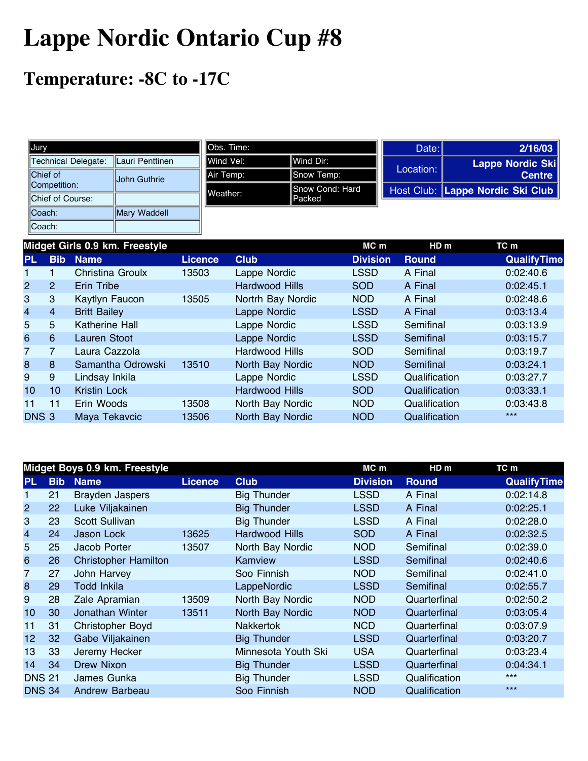## **Lappe Nordic Ontario Cup #8**

## **Temperature: -8C to -17C**

| Jury                |                         | <b>I</b> Obs. Time: |                 | Date:     | 2/16/03                          |
|---------------------|-------------------------|---------------------|-----------------|-----------|----------------------------------|
| Technical Delegate: | <b>ILauri Penttinen</b> | IWind Vel:          | lWind Dir:      |           | Lappe Nordic Ski                 |
| Chief of            | <b>John Guthrie</b>     | Air Temp:           | Snow Temp:      | Location: | <b>Centre</b>                    |
| Competition:        |                         | Weather:            | Snow Cond: Hard |           | Host Club: Lappe Nordic Ski Club |
| Chief of Course:    |                         |                     | <b>Packed</b>   |           |                                  |
| $ $ Coach:          | Mary Waddell            |                     |                 |           |                                  |
| Coach:              |                         |                     |                 |           |                                  |

|                  |                 | Midget Girls 0.9 km. Freestyle |                |                       | $MC$ m          | HD <sub>m</sub> | TC m               |
|------------------|-----------------|--------------------------------|----------------|-----------------------|-----------------|-----------------|--------------------|
| <b>PL</b>        | <b>Bib</b>      | <b>Name</b>                    | <b>Licence</b> | <b>Club</b>           | <b>Division</b> | <b>Round</b>    | <b>QualifyTime</b> |
|                  |                 | Christina Groulx               | 13503          | Lappe Nordic          | <b>LSSD</b>     | A Final         | 0:02:40.6          |
| $\overline{2}$   | $\overline{2}$  | Erin Tribe                     |                | <b>Hardwood Hills</b> | <b>SOD</b>      | A Final         | 0:02:45.1          |
| 3                | 3               | Kaytlyn Faucon                 | 13505          | Nortrh Bay Nordic     | <b>NOD</b>      | A Final         | 0:02:48.6          |
| 4                | $\overline{4}$  | <b>Britt Bailey</b>            |                | Lappe Nordic          | <b>LSSD</b>     | A Final         | 0:03:13.4          |
| 5                | 5               | Katherine Hall                 |                | Lappe Nordic          | <b>LSSD</b>     | Semifinal       | 0:03:13.9          |
| 6                | 6               | <b>Lauren Stoot</b>            |                | Lappe Nordic          | <b>LSSD</b>     | Semifinal       | 0:03:15.7          |
| 7                | $\overline{7}$  | Laura Cazzola                  |                | <b>Hardwood Hills</b> | <b>SOD</b>      | Semifinal       | 0:03:19.7          |
| 8                | 8               | Samantha Odrowski              | 13510          | North Bay Nordic      | <b>NOD</b>      | Semifinal       | 0:03:24.1          |
| 9                | 9               | Lindsay Inkila                 |                | Lappe Nordic          | <b>LSSD</b>     | Qualification   | 0:03:27.7          |
| 10 <sup>°</sup>  | 10 <sup>°</sup> | <b>Kristin Lock</b>            |                | <b>Hardwood Hills</b> | <b>SOD</b>      | Qualification   | 0:03:33.1          |
| 11               | 11              | Erin Woods                     | 13508          | North Bay Nordic      | <b>NOD</b>      | Qualification   | 0:03:43.8          |
| DNS <sub>3</sub> |                 | Maya Tekavcic                  | 13506          | North Bay Nordic      | <b>NOD</b>      | Qualification   | $***$              |

|                |            | Midget Boys 0.9 km. Freestyle |                |                     | MC m            | HD <sub>m</sub> | TC m               |
|----------------|------------|-------------------------------|----------------|---------------------|-----------------|-----------------|--------------------|
| <b>PL</b>      | <b>Bib</b> | <b>Name</b>                   | <b>Licence</b> | <b>Club</b>         | <b>Division</b> | <b>Round</b>    | <b>QualifyTime</b> |
| 1              | 21         | <b>Brayden Jaspers</b>        |                | <b>Big Thunder</b>  | <b>LSSD</b>     | A Final         | 0:02:14.8          |
| $\overline{2}$ | 22         | Luke Viljakainen              |                | <b>Big Thunder</b>  | <b>LSSD</b>     | A Final         | 0:02:25.1          |
| 3              | 23         | Scott Sullivan                |                | <b>Big Thunder</b>  | <b>LSSD</b>     | A Final         | 0:02:28.0          |
| 4              | 24         | Jason Lock                    | 13625          | Hardwood Hills      | <b>SOD</b>      | A Final         | 0:02:32.5          |
| 5              | 25         | Jacob Porter                  | 13507          | North Bay Nordic    | <b>NOD</b>      | Semifinal       | 0:02:39.0          |
| 6              | 26         | <b>Christopher Hamilton</b>   |                | Kamview             | <b>LSSD</b>     | Semifinal       | 0:02:40.6          |
| 7              | 27         | John Harvey                   |                | Soo Finnish         | NOD             | Semifinal       | 0:02:41.0          |
| 8              | 29         | <b>Todd Inkila</b>            |                | LappeNordic         | <b>LSSD</b>     | Semifinal       | 0:02:55.7          |
| 9              | 28         | Zale Apramian                 | 13509          | North Bay Nordic    | <b>NOD</b>      | Quarterfinal    | 0:02:50.2          |
| 10             | 30         | Jonathan Winter               | 13511          | North Bay Nordic    | <b>NOD</b>      | Quarterfinal    | 0:03:05.4          |
| 11             | 31         | <b>Christopher Boyd</b>       |                | <b>Nakkertok</b>    | <b>NCD</b>      | Quarterfinal    | 0:03:07.9          |
| 12             | 32         | Gabe Viljakainen              |                | <b>Big Thunder</b>  | <b>LSSD</b>     | Quarterfinal    | 0:03:20.7          |
| 13             | 33         | Jeremy Hecker                 |                | Minnesota Youth Ski | <b>USA</b>      | Quarterfinal    | 0:03:23.4          |
| 14             | 34         | Drew Nixon                    |                | <b>Big Thunder</b>  | <b>LSSD</b>     | Quarterfinal    | 0:04:34.1          |
| <b>DNS 21</b>  |            | James Gunka                   |                | <b>Big Thunder</b>  | <b>LSSD</b>     | Qualification   | $***$              |
| <b>DNS 34</b>  |            | Andrew Barbeau                |                | Soo Finnish         | <b>NOD</b>      | Qualification   | $***$              |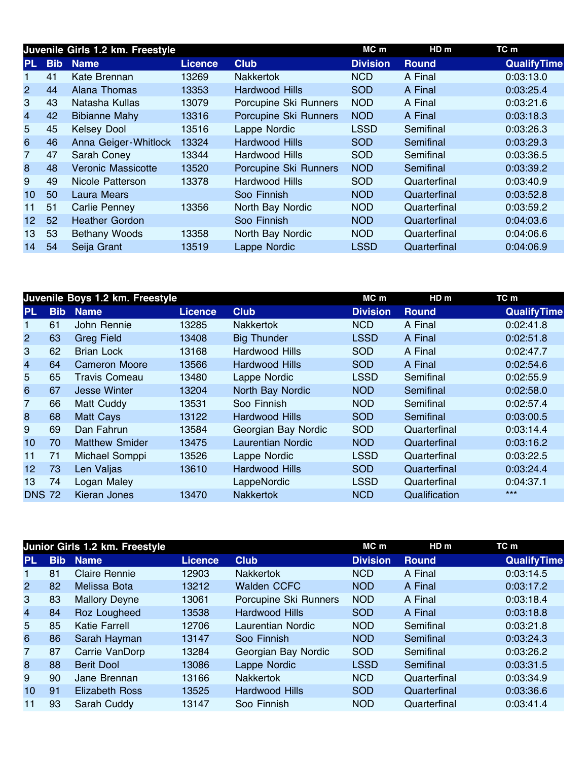|                         |            | Juvenile Girls 1.2 km. Freestyle |                |                       | MC m            | HD <sub>m</sub> | TC m               |
|-------------------------|------------|----------------------------------|----------------|-----------------------|-----------------|-----------------|--------------------|
| PL.                     | <b>Bib</b> | <b>Name</b>                      | <b>Licence</b> | <b>Club</b>           | <b>Division</b> | <b>Round</b>    | <b>QualifyTime</b> |
| 1                       | 41         | Kate Brennan                     | 13269          | <b>Nakkertok</b>      | <b>NCD</b>      | A Final         | 0:03:13.0          |
| $\overline{2}$          | 44         | Alana Thomas                     | 13353          | Hardwood Hills        | <b>SOD</b>      | A Final         | 0:03:25.4          |
| 3                       | 43         | Natasha Kullas                   | 13079          | Porcupine Ski Runners | <b>NOD</b>      | A Final         | 0:03:21.6          |
| $\overline{\mathbf{4}}$ | 42         | <b>Bibianne Mahy</b>             | 13316          | Porcupine Ski Runners | <b>NOD</b>      | A Final         | 0:03:18.3          |
| 5                       | 45         | <b>Kelsey Dool</b>               | 13516          | Lappe Nordic          | <b>LSSD</b>     | Semifinal       | 0:03:26.3          |
| 6                       | 46         | Anna Geiger-Whitlock             | 13324          | <b>Hardwood Hills</b> | <b>SOD</b>      | Semifinal       | 0:03:29.3          |
| 7                       | 47         | Sarah Coney                      | 13344          | Hardwood Hills        | <b>SOD</b>      | Semifinal       | 0:03:36.5          |
| 8                       | 48         | <b>Veronic Massicotte</b>        | 13520          | Porcupine Ski Runners | <b>NOD</b>      | Semifinal       | 0:03:39.2          |
| 9                       | 49         | Nicole Patterson                 | 13378          | Hardwood Hills        | <b>SOD</b>      | Quarterfinal    | 0:03:40.9          |
| 10                      | 50         | <b>Laura Mears</b>               |                | Soo Finnish           | <b>NOD</b>      | Quarterfinal    | 0:03:52.8          |
| 11                      | 51         | Carlie Penney                    | 13356          | North Bay Nordic      | <b>NOD</b>      | Quarterfinal    | 0:03:59.2          |
| 12 <sub>2</sub>         | 52         | <b>Heather Gordon</b>            |                | Soo Finnish           | <b>NOD</b>      | Quarterfinal    | 0:04:03.6          |
| 13                      | 53         | <b>Bethany Woods</b>             | 13358          | North Bay Nordic      | <b>NOD</b>      | Quarterfinal    | 0:04:06.6          |
| 14                      | 54         | Seija Grant                      | 13519          | Lappe Nordic          | <b>LSSD</b>     | Quarterfinal    | 0:04:06.9          |

|                |            | Juvenile Boys 1.2 km. Freestyle |                |                          | MC m            | HD <sub>m</sub> | TC m               |
|----------------|------------|---------------------------------|----------------|--------------------------|-----------------|-----------------|--------------------|
| <b>PL</b>      | <b>Bib</b> | <b>Name</b>                     | <b>Licence</b> | <b>Club</b>              | <b>Division</b> | <b>Round</b>    | <b>QualifyTime</b> |
|                | 61         | John Rennie                     | 13285          | <b>Nakkertok</b>         | <b>NCD</b>      | A Final         | 0:02:41.8          |
| $\overline{2}$ | 63         | <b>Greg Field</b>               | 13408          | <b>Big Thunder</b>       | <b>LSSD</b>     | A Final         | 0:02:51.8          |
| 3              | 62         | <b>Brian Lock</b>               | 13168          | Hardwood Hills           | <b>SOD</b>      | A Final         | 0:02:47.7          |
| $\overline{4}$ | 64         | <b>Cameron Moore</b>            | 13566          | <b>Hardwood Hills</b>    | <b>SOD</b>      | A Final         | 0:02:54.6          |
| 5              | 65         | Travis Comeau                   | 13480          | Lappe Nordic             | <b>LSSD</b>     | Semifinal       | 0:02:55.9          |
| 6              | 67         | <b>Jesse Winter</b>             | 13204          | North Bay Nordic         | <b>NOD</b>      | Semifinal       | 0:02:58.0          |
| 7              | 66         | Matt Cuddy                      | 13531          | Soo Finnish              | <b>NOD</b>      | Semifinal       | 0:02:57.4          |
| 8              | 68         | <b>Matt Cays</b>                | 13122          | <b>Hardwood Hills</b>    | <b>SOD</b>      | Semifinal       | 0:03:00.5          |
| 9              | 69         | Dan Fahrun                      | 13584          | Georgian Bay Nordic      | <b>SOD</b>      | Quarterfinal    | 0:03:14.4          |
| 10             | 70         | <b>Matthew Smider</b>           | 13475          | <b>Laurentian Nordic</b> | <b>NOD</b>      | Quarterfinal    | 0:03:16.2          |
| 11             | 71         | Michael Somppi                  | 13526          | Lappe Nordic             | <b>LSSD</b>     | Quarterfinal    | 0:03:22.5          |
| 12             | 73         | Len Valjas                      | 13610          | <b>Hardwood Hills</b>    | <b>SOD</b>      | Quarterfinal    | 0:03:24.4          |
| 13             | 74         | Logan Maley                     |                | LappeNordic              | <b>LSSD</b>     | Quarterfinal    | 0:04:37.1          |
| <b>DNS 72</b>  |            | Kieran Jones                    | 13470          | <b>Nakkertok</b>         | <b>NCD</b>      | Qualification   | $***$              |

|                |            | Junior Girls 1.2 km. Freestyle |                |                       | $MC$ m          | HD <sub>m</sub> | TC m               |
|----------------|------------|--------------------------------|----------------|-----------------------|-----------------|-----------------|--------------------|
| <b>PL</b>      | <b>Bib</b> | <b>Name</b>                    | <b>Licence</b> | <b>Club</b>           | <b>Division</b> | <b>Round</b>    | <b>QualifyTime</b> |
|                | 81         | <b>Claire Rennie</b>           | 12903          | <b>Nakkertok</b>      | <b>NCD</b>      | A Final         | 0:03:14.5          |
| $\overline{2}$ | 82         | Melissa Bota                   | 13212          | <b>Walden CCFC</b>    | <b>NOD</b>      | A Final         | 0:03:17.2          |
| 3              | 83         | <b>Mallory Deyne</b>           | 13061          | Porcupine Ski Runners | <b>NOD</b>      | A Final         | 0:03:18.4          |
| $\overline{4}$ | 84         | Roz Lougheed                   | 13538          | <b>Hardwood Hills</b> | <b>SOD</b>      | A Final         | 0:03:18.8          |
| 5              | 85         | <b>Katie Farrell</b>           | 12706          | Laurentian Nordic     | <b>NOD</b>      | Semifinal       | 0:03:21.8          |
| 6              | 86         | Sarah Hayman                   | 13147          | Soo Finnish           | <b>NOD</b>      | Semifinal       | 0:03:24.3          |
| 7              | 87         | Carrie VanDorp                 | 13284          | Georgian Bay Nordic   | <b>SOD</b>      | Semifinal       | 0:03:26.2          |
| 8              | 88         | <b>Berit Dool</b>              | 13086          | Lappe Nordic          | <b>LSSD</b>     | Semifinal       | 0:03:31.5          |
| 9              | 90         | Jane Brennan                   | 13166          | <b>Nakkertok</b>      | <b>NCD</b>      | Quarterfinal    | 0:03:34.9          |
| 10             | 91         | Elizabeth Ross                 | 13525          | Hardwood Hills        | <b>SOD</b>      | Quarterfinal    | 0:03:36.6          |
| 11             | 93         | Sarah Cuddy                    | 13147          | Soo Finnish           | <b>NOD</b>      | Quarterfinal    | 0:03:41.4          |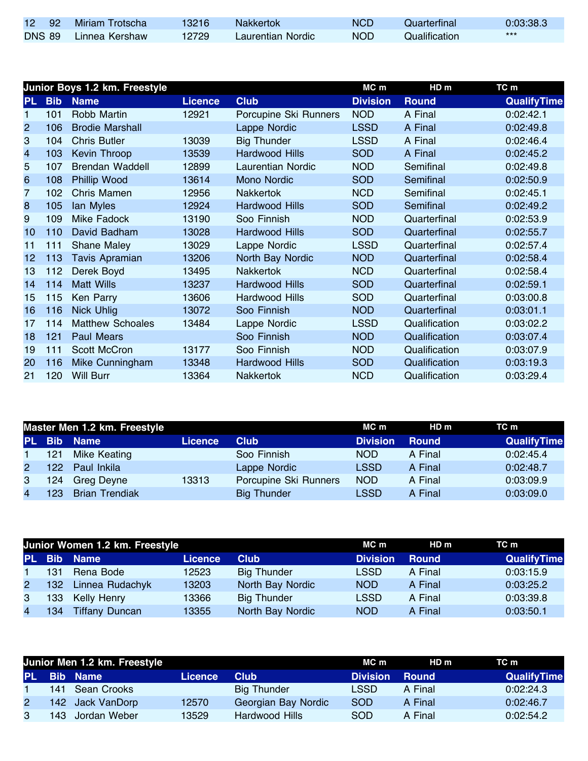| 12 92         | Miriam Trotscha | 13216 | <b>Nakkertok</b>  | NCD. | Quarterfinal  | 0:03:38.3 |
|---------------|-----------------|-------|-------------------|------|---------------|-----------|
| <b>DNS 89</b> | Linnea Kershaw  | 12729 | Laurentian Nordic | NOD. | Qualification | $***$     |

|                         |            | Junior Boys 1.2 km. Freestyle |                |                          | MC m            | HD <sub>m</sub> | TC m               |
|-------------------------|------------|-------------------------------|----------------|--------------------------|-----------------|-----------------|--------------------|
| PL.                     | <b>Bib</b> | <b>Name</b>                   | <b>Licence</b> | <b>Club</b>              | <b>Division</b> | <b>Round</b>    | <b>QualifyTime</b> |
| 1                       | 101        | Robb Martin                   | 12921          | Porcupine Ski Runners    | <b>NOD</b>      | A Final         | 0:02:42.1          |
| $\overline{2}$          | 106        | <b>Brodie Marshall</b>        |                | Lappe Nordic             | <b>LSSD</b>     | A Final         | 0:02:49.8          |
| 3                       | 104        | <b>Chris Butler</b>           | 13039          | <b>Big Thunder</b>       | <b>LSSD</b>     | A Final         | 0:02:46.4          |
| $\overline{\mathbf{4}}$ | 103        | <b>Kevin Throop</b>           | 13539          | <b>Hardwood Hills</b>    | <b>SOD</b>      | A Final         | 0:02:45.2          |
| 5                       | 107        | <b>Brendan Waddell</b>        | 12899          | <b>Laurentian Nordic</b> | <b>NOD</b>      | Semifinal       | 0:02:49.8          |
| $6\phantom{1}6$         | 108        | <b>Phillip Wood</b>           | 13614          | <b>Mono Nordic</b>       | <b>SOD</b>      | Semifinal       | 0:02:50.9          |
| 7                       | 102        | Chris Mamen                   | 12956          | <b>Nakkertok</b>         | <b>NCD</b>      | Semifinal       | 0:02:45.1          |
| 8                       | 105        | lan Myles                     | 12924          | Hardwood Hills           | <b>SOD</b>      | Semifinal       | 0:02:49.2          |
| 9                       | 109        | <b>Mike Fadock</b>            | 13190          | Soo Finnish              | <b>NOD</b>      | Quarterfinal    | 0:02:53.9          |
| 10                      | 110        | David Badham                  | 13028          | <b>Hardwood Hills</b>    | <b>SOD</b>      | Quarterfinal    | 0:02:55.7          |
| 11                      | 111        | <b>Shane Maley</b>            | 13029          | Lappe Nordic             | <b>LSSD</b>     | Quarterfinal    | 0:02:57.4          |
| 12                      | 113        | Tavis Apramian                | 13206          | North Bay Nordic         | <b>NOD</b>      | Quarterfinal    | 0:02:58.4          |
| 13                      | 112        | Derek Boyd                    | 13495          | Nakkertok                | <b>NCD</b>      | Quarterfinal    | 0:02:58.4          |
| 14                      | 114        | <b>Matt Wills</b>             | 13237          | <b>Hardwood Hills</b>    | <b>SOD</b>      | Quarterfinal    | 0:02:59.1          |
| 15                      | 115        | Ken Parry                     | 13606          | Hardwood Hills           | <b>SOD</b>      | Quarterfinal    | 0:03:00.8          |
| 16                      | 116        | <b>Nick Uhlig</b>             | 13072          | Soo Finnish              | <b>NOD</b>      | Quarterfinal    | 0:03:01.1          |
| 17                      | 114        | <b>Matthew Schoales</b>       | 13484          | Lappe Nordic             | <b>LSSD</b>     | Qualification   | 0:03:02.2          |
| 18                      | 121        | <b>Paul Mears</b>             |                | Soo Finnish              | <b>NOD</b>      | Qualification   | 0:03:07.4          |
| 19                      | 111        | Scott McCron                  | 13177          | Soo Finnish              | <b>NOD</b>      | Qualification   | 0:03:07.9          |
| 20                      | 116        | Mike Cunningham               | 13348          | <b>Hardwood Hills</b>    | <b>SOD</b>      | Qualification   | 0:03:19.3          |
| 21                      | 120        | <b>Will Burr</b>              | 13364          | Nakkertok                | <b>NCD</b>      | Qualification   | 0:03:29.4          |

| Master Men 1.2 km. Freestyle |     |                       |                |                       | MC m            | HDm          | TC m               |
|------------------------------|-----|-----------------------|----------------|-----------------------|-----------------|--------------|--------------------|
|                              |     | PL Bib Name           | <b>Licence</b> | <b>Club</b>           | <b>Division</b> | <b>Round</b> | <b>QualifyTime</b> |
| $1 -$                        | 121 | <b>Mike Keating</b>   |                | Soo Finnish           | NOD.            | A Final      | 0:02:45.4          |
| $\mathbf{2}$                 | 122 | Paul Inkila           |                | Lappe Nordic          | <b>LSSD</b>     | A Final      | 0:02:48.7          |
| 3                            | 124 | Greg Deyne            | 13313          | Porcupine Ski Runners | <b>NOD</b>      | A Final      | 0:03:09.9          |
| $\overline{4}$               | 123 | <b>Brian Trendiak</b> |                | <b>Big Thunder</b>    | <b>LSSD</b>     | A Final      | 0:03:09.0          |

|                |     | Junior Women 1.2 km. Freestyle |                | MC m               | HD m            | TC m         |                    |
|----------------|-----|--------------------------------|----------------|--------------------|-----------------|--------------|--------------------|
|                |     | PL Bib Name                    | <b>Licence</b> | <b>Club</b>        | <b>Division</b> | <b>Round</b> | <b>QualifyTime</b> |
|                | 131 | Rena Bode                      | 12523          | <b>Big Thunder</b> | <b>LSSD</b>     | A Final      | 0:03:15.9          |
| $\mathbf{2}$   |     | 132 Linnea Rudachyk            | 13203          | North Bay Nordic   | <b>NOD</b>      | A Final      | 0:03:25.2          |
| 3              | 133 | Kelly Henry                    | 13366          | <b>Big Thunder</b> | <b>LSSD</b>     | A Final      | 0:03:39.8          |
| $\overline{4}$ | 134 | <b>Tiffany Duncan</b>          | 13355          | North Bay Nordic   | <b>NOD</b>      | A Final      | 0:03:50.1          |

| Junior Men 1.2 km. Freestyle |  |                    |                |                     | MC m            | HD m         | TC m               |
|------------------------------|--|--------------------|----------------|---------------------|-----------------|--------------|--------------------|
|                              |  | <b>PL Bib Name</b> | <b>Licence</b> | <b>Club</b>         | <b>Division</b> | <b>Round</b> | <b>QualifyTime</b> |
|                              |  | 141 Sean Crooks    |                | Big Thunder         | LSSD            | A Final      | 0:02:24.3          |
|                              |  | 142 Jack VanDorp   | 12570          | Georgian Bay Nordic | <b>SOD</b>      | A Final      | 0:02:46.7          |
| 3                            |  | 143 Jordan Weber   | 13529          | Hardwood Hills      | <b>SOD</b>      | A Final      | 0:02:54.2          |